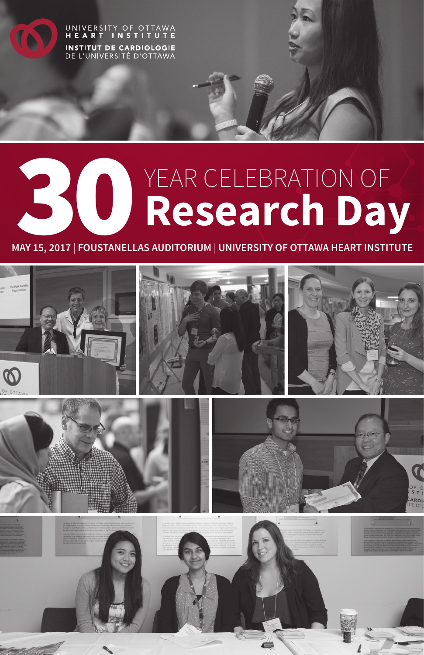

**CO** 

# **YEAR CELEBRATION OF 30 Research Day**

**MAY 15, 2017** | **FOUSTANELLAS AUDITORIUM** | **UNIVERSITY OF OTTAWA HEART INSTITUTE**

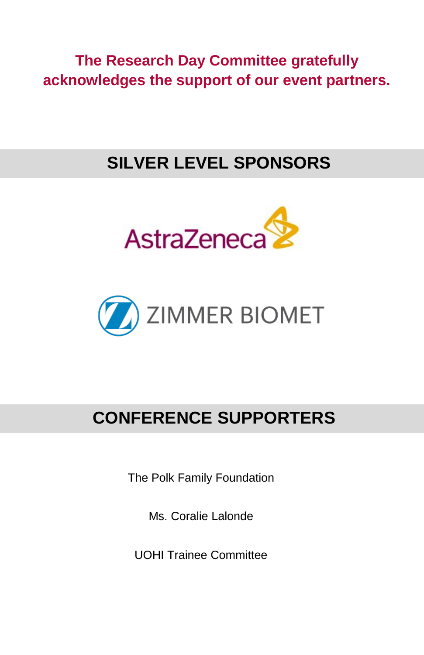**The Research Day Committee gratefully acknowledges the support of our event partners.**

# **SILVER LEVEL SPONSORS**





# **CONFERENCE SUPPORTERS**

The Polk Family Foundation

Ms. Coralie Lalonde

UOHI Trainee Committee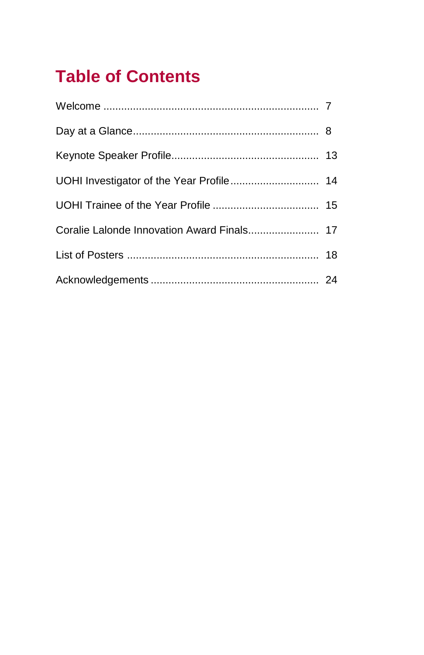# **Table of Contents**

| UOHI Investigator of the Year Profile 14 |  |
|------------------------------------------|--|
|                                          |  |
|                                          |  |
|                                          |  |
|                                          |  |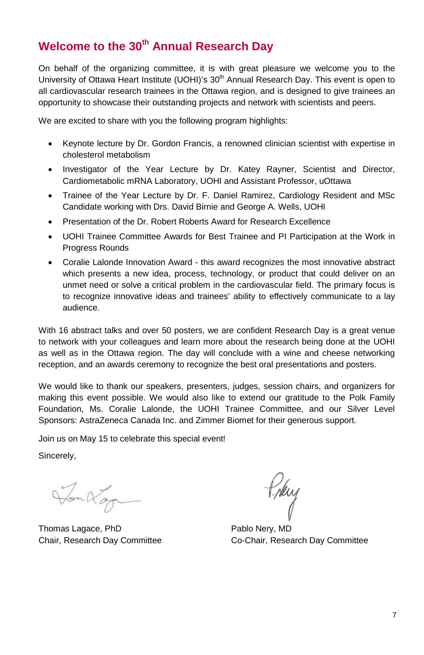# **Welcome to the 30th Annual Research Day**

On behalf of the organizing committee, it is with great pleasure we welcome you to the University of Ottawa Heart Institute (UOHI)'s  $30<sup>th</sup>$  Annual Research Day. This event is open to all cardiovascular research trainees in the Ottawa region, and is designed to give trainees an opportunity to showcase their outstanding projects and network with scientists and peers.

We are excited to share with you the following program highlights:

- Keynote lecture by Dr. Gordon Francis, a renowned clinician scientist with expertise in cholesterol metabolism
- Investigator of the Year Lecture by Dr. Katey Rayner, Scientist and Director, Cardiometabolic mRNA Laboratory, UOHI and Assistant Professor, uOttawa
- Trainee of the Year Lecture by Dr. F. Daniel Ramirez, Cardiology Resident and MSc Candidate working with Drs. David Birnie and George A. Wells, UOHI
- Presentation of the Dr. Robert Roberts Award for Research Excellence
- UOHI Trainee Committee Awards for Best Trainee and PI Participation at the Work in Progress Rounds
- Coralie Lalonde Innovation Award this award recognizes the most innovative abstract which presents a new idea, process, technology, or product that could deliver on an unmet need or solve a critical problem in the cardiovascular field. The primary focus is to recognize innovative ideas and trainees' ability to effectively communicate to a lay audience.

With 16 abstract talks and over 50 posters, we are confident Research Day is a great venue to network with your colleagues and learn more about the research being done at the UOHI as well as in the Ottawa region. The day will conclude with a wine and cheese networking reception, and an awards ceremony to recognize the best oral presentations and posters.

We would like to thank our speakers, presenters, judges, session chairs, and organizers for making this event possible. We would also like to extend our gratitude to the Polk Family Foundation, Ms. Coralie Lalonde, the UOHI Trainee Committee, and our Silver Level Sponsors: AstraZeneca Canada Inc. and Zimmer Biomet for their generous support.

Join us on May 15 to celebrate this special event!

Sincerely,

Tonkage

Thomas Lagace, PhD Pablo Nery, MD

Prky

Chair, Research Day Committee Co-Chair, Research Day Committee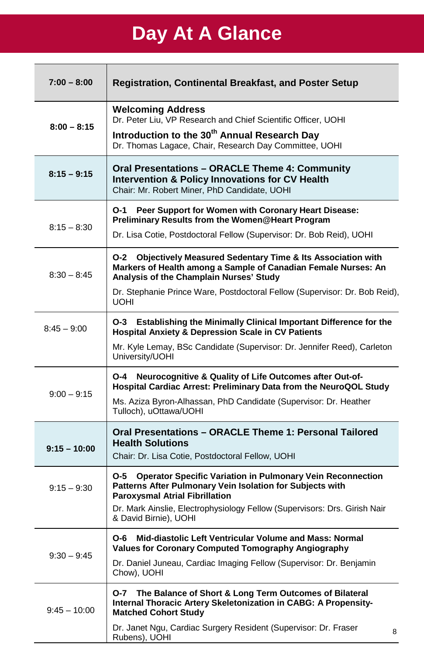# **Day At A Glance**

| $7:00 - 8:00$  | <b>Registration, Continental Breakfast, and Poster Setup</b>                                                                                                                              |
|----------------|-------------------------------------------------------------------------------------------------------------------------------------------------------------------------------------------|
| $8:00 - 8:15$  | <b>Welcoming Address</b><br>Dr. Peter Liu, VP Research and Chief Scientific Officer, UOHI                                                                                                 |
|                | Introduction to the 30 <sup>th</sup> Annual Research Day<br>Dr. Thomas Lagace, Chair, Research Day Committee, UOHI                                                                        |
| $8:15 - 9:15$  | Oral Presentations - ORACLE Theme 4: Community<br><b>Intervention &amp; Policy Innovations for CV Health</b><br>Chair: Mr. Robert Miner, PhD Candidate, UOHI                              |
| $8:15 - 8:30$  | O-1<br>Peer Support for Women with Coronary Heart Disease:<br>Preliminary Results from the Women@Heart Program                                                                            |
|                | Dr. Lisa Cotie, Postdoctoral Fellow (Supervisor: Dr. Bob Reid), UOHI                                                                                                                      |
| $8:30 - 8:45$  | <b>Objectively Measured Sedentary Time &amp; Its Association with</b><br>O-2<br>Markers of Health among a Sample of Canadian Female Nurses: An<br>Analysis of the Champlain Nurses' Study |
|                | Dr. Stephanie Prince Ware, Postdoctoral Fellow (Supervisor: Dr. Bob Reid),<br>UOHI                                                                                                        |
| $8:45 - 9:00$  | Establishing the Minimally Clinical Important Difference for the<br>O-3<br><b>Hospital Anxiety &amp; Depression Scale in CV Patients</b>                                                  |
|                | Mr. Kyle Lemay, BSc Candidate (Supervisor: Dr. Jennifer Reed), Carleton<br>University/UOHI                                                                                                |
| $9:00 - 9:15$  | O-4<br>Neurocognitive & Quality of Life Outcomes after Out-of-<br>Hospital Cardiac Arrest: Preliminary Data from the NeuroQOL Study                                                       |
|                | Ms. Aziza Byron-Alhassan, PhD Candidate (Supervisor: Dr. Heather<br>Tulloch), uOttawa/UOHI                                                                                                |
| $9:15 - 10:00$ | Oral Presentations - ORACLE Theme 1: Personal Tailored<br><b>Health Solutions</b><br>Chair: Dr. Lisa Cotie, Postdoctoral Fellow, UOHI                                                     |
| $9:15 - 9:30$  | <b>Operator Specific Variation in Pulmonary Vein Reconnection</b><br>O-5<br>Patterns After Pulmonary Vein Isolation for Subjects with<br><b>Paroxysmal Atrial Fibrillation</b>            |
|                | Dr. Mark Ainslie, Electrophysiology Fellow (Supervisors: Drs. Girish Nair<br>& David Birnie), UOHI                                                                                        |
|                | Mid-diastolic Left Ventricular Volume and Mass: Normal<br>O-6<br>Values for Coronary Computed Tomography Angiography                                                                      |
| $9:30 - 9:45$  | Dr. Daniel Juneau, Cardiac Imaging Fellow (Supervisor: Dr. Benjamin<br>Chow), UOHI                                                                                                        |
| $9:45 - 10:00$ | The Balance of Short & Long Term Outcomes of Bilateral<br>O-7<br>Internal Thoracic Artery Skeletonization in CABG: A Propensity-<br><b>Matched Cohort Study</b>                           |
|                | Dr. Janet Ngu, Cardiac Surgery Resident (Supervisor: Dr. Fraser<br>8<br>Rubens), UOHI                                                                                                     |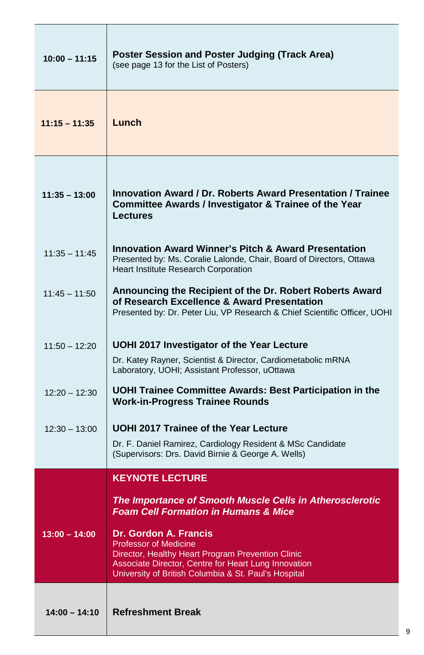| $10:00 - 11:15$ | Poster Session and Poster Judging (Track Area)<br>(see page 13 for the List of Posters)                                                                                                                                           |
|-----------------|-----------------------------------------------------------------------------------------------------------------------------------------------------------------------------------------------------------------------------------|
| $11:15 - 11:35$ | Lunch                                                                                                                                                                                                                             |
| $11:35 - 13:00$ | Innovation Award / Dr. Roberts Award Presentation / Trainee<br>Committee Awards / Investigator & Trainee of the Year<br>Lectures                                                                                                  |
| $11:35 - 11:45$ | <b>Innovation Award Winner's Pitch &amp; Award Presentation</b><br>Presented by: Ms. Coralie Lalonde, Chair, Board of Directors, Ottawa<br>Heart Institute Research Corporation                                                   |
| $11:45 - 11:50$ | Announcing the Recipient of the Dr. Robert Roberts Award<br>of Research Excellence & Award Presentation<br>Presented by: Dr. Peter Liu, VP Research & Chief Scientific Officer, UOHI                                              |
| $11:50 - 12:20$ | UOHI 2017 Investigator of the Year Lecture                                                                                                                                                                                        |
|                 | Dr. Katey Rayner, Scientist & Director, Cardiometabolic mRNA<br>Laboratory, UOHI; Assistant Professor, uOttawa                                                                                                                    |
| $12:20 - 12:30$ | UOHI Trainee Committee Awards: Best Participation in the<br><b>Work-in-Progress Trainee Rounds</b>                                                                                                                                |
| $12:30 - 13:00$ | UOHI 2017 Trainee of the Year Lecture                                                                                                                                                                                             |
|                 | Dr. F. Daniel Ramirez, Cardiology Resident & MSc Candidate<br>(Supervisors: Drs. David Birnie & George A. Wells)                                                                                                                  |
|                 | <b>KEYNOTE LECTURE</b>                                                                                                                                                                                                            |
|                 | The Importance of Smooth Muscle Cells in Atherosclerotic<br><b>Foam Cell Formation in Humans &amp; Mice</b>                                                                                                                       |
| $13:00 - 14:00$ | <b>Dr. Gordon A. Francis</b><br><b>Professor of Medicine</b><br>Director, Healthy Heart Program Prevention Clinic<br>Associate Director, Centre for Heart Lung Innovation<br>University of British Columbia & St. Paul's Hospital |
| $14:00 - 14:10$ | <b>Refreshment Break</b>                                                                                                                                                                                                          |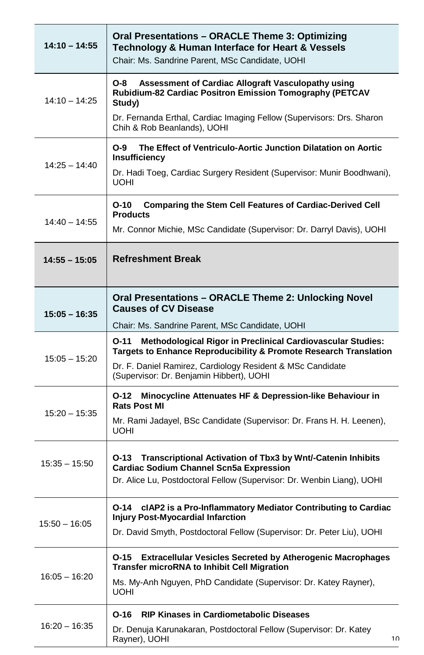| $14:10 - 14:55$ | Oral Presentations - ORACLE Theme 3: Optimizing<br>Technology & Human Interface for Heart & Vessels<br>Chair: Ms. Sandrine Parent, MSc Candidate, UOHI                                                                                                    |
|-----------------|-----------------------------------------------------------------------------------------------------------------------------------------------------------------------------------------------------------------------------------------------------------|
| $14:10 - 14:25$ | Assessment of Cardiac Allograft Vasculopathy using<br>O-8<br>Rubidium-82 Cardiac Positron Emission Tomography (PETCAV<br>Study)<br>Dr. Fernanda Erthal, Cardiac Imaging Fellow (Supervisors: Drs. Sharon<br>Chih & Rob Beanlands), UOHI                   |
| $14:25 - 14:40$ | The Effect of Ventriculo-Aortic Junction Dilatation on Aortic<br>O-9<br>Insufficiency<br>Dr. Hadi Toeg, Cardiac Surgery Resident (Supervisor: Munir Boodhwani),<br><b>UOHI</b>                                                                            |
| $14:40 - 14:55$ | $O-10$<br><b>Comparing the Stem Cell Features of Cardiac-Derived Cell</b><br><b>Products</b><br>Mr. Connor Michie, MSc Candidate (Supervisor: Dr. Darryl Davis), UOHI                                                                                     |
| $14:55 - 15:05$ | <b>Refreshment Break</b>                                                                                                                                                                                                                                  |
| $15:05 - 16:35$ | Oral Presentations - ORACLE Theme 2: Unlocking Novel<br><b>Causes of CV Disease</b><br>Chair: Ms. Sandrine Parent, MSc Candidate, UOHI                                                                                                                    |
| $15:05 - 15:20$ | <b>Methodological Rigor in Preclinical Cardiovascular Studies:</b><br>O-11<br>Targets to Enhance Reproducibility & Promote Research Translation<br>Dr. F. Daniel Ramirez, Cardiology Resident & MSc Candidate<br>(Supervisor: Dr. Benjamin Hibbert), UOHI |
| $15:20 - 15:35$ | Minocycline Attenuates HF & Depression-like Behaviour in<br>O-12<br><b>Rats Post MI</b><br>Mr. Rami Jadayel, BSc Candidate (Supervisor: Dr. Frans H. H. Leenen),<br><b>UOHI</b>                                                                           |
| $15:35 - 15:50$ | Transcriptional Activation of Tbx3 by Wnt/-Catenin Inhibits<br>O-13<br><b>Cardiac Sodium Channel Scn5a Expression</b><br>Dr. Alice Lu, Postdoctoral Fellow (Supervisor: Dr. Wenbin Liang), UOHI                                                           |
| $15:50 - 16:05$ | cIAP2 is a Pro-Inflammatory Mediator Contributing to Cardiac<br>O-14<br><b>Injury Post-Myocardial Infarction</b><br>Dr. David Smyth, Postdoctoral Fellow (Supervisor: Dr. Peter Liu), UOHI                                                                |
| $16:05 - 16:20$ | <b>Extracellular Vesicles Secreted by Atherogenic Macrophages</b><br>O-15<br><b>Transfer microRNA to Inhibit Cell Migration</b><br>Ms. My-Anh Nguyen, PhD Candidate (Supervisor: Dr. Katey Rayner),<br>UOHI                                               |
| 16:20 - 16:35   | <b>RIP Kinases in Cardiometabolic Diseases</b><br>O-16<br>Dr. Denuja Karunakaran, Postdoctoral Fellow (Supervisor: Dr. Katey<br>Rayner), UOHI<br>10                                                                                                       |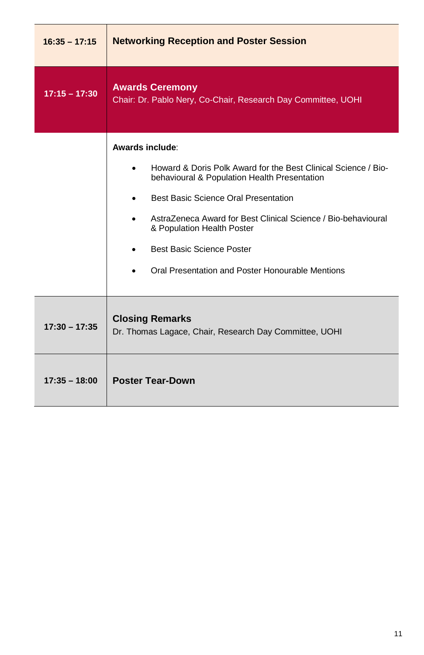| $16:35 - 17:15$ | <b>Networking Reception and Poster Session</b>                                                                                                                                                                                                                                                                                                            |
|-----------------|-----------------------------------------------------------------------------------------------------------------------------------------------------------------------------------------------------------------------------------------------------------------------------------------------------------------------------------------------------------|
| $17:15 - 17:30$ | <b>Awards Ceremony</b><br>Chair: Dr. Pablo Nery, Co-Chair, Research Day Committee, UOHI                                                                                                                                                                                                                                                                   |
|                 | Awards include:<br>Howard & Doris Polk Award for the Best Clinical Science / Bio-<br>behavioural & Population Health Presentation<br>Best Basic Science Oral Presentation<br>AstraZeneca Award for Best Clinical Science / Bio-behavioural<br>& Population Health Poster<br>Best Basic Science Poster<br>Oral Presentation and Poster Honourable Mentions |
| $17:30 - 17:35$ | <b>Closing Remarks</b><br>Dr. Thomas Lagace, Chair, Research Day Committee, UOHI                                                                                                                                                                                                                                                                          |
| $17:35 - 18:00$ | <b>Poster Tear-Down</b>                                                                                                                                                                                                                                                                                                                                   |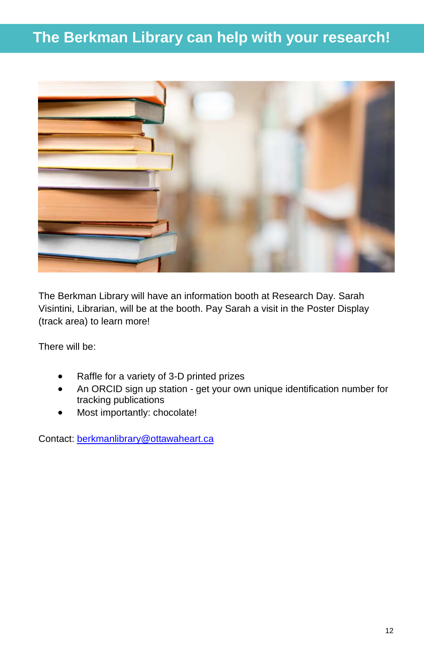# **The Berkman Library can help with your research!**



The Berkman Library will have an information booth at Research Day. Sarah Visintini, Librarian, will be at the booth. Pay Sarah a visit in the Poster Display (track area) to learn more!

There will be:

- Raffle for a variety of 3-D printed prizes
- An ORCID sign up station get your own unique identification number for tracking publications
- Most importantly: chocolate!

Contact: [berkmanlibrary@ottawaheart.ca](mailto:berkmanlibrary@ottawaheart.ca)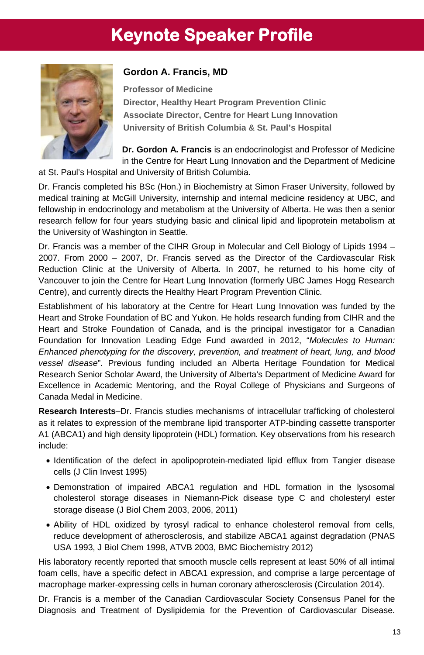# **Keynote Speaker Profile**



## **Gordon A. Francis, MD**

**Professor of Medicine Director, Healthy Heart Program Prevention Clinic Associate Director, Centre for Heart Lung Innovation University of British Columbia & St. Paul's Hospital**

**Dr. Gordon A. Francis** is an endocrinologist and Professor of Medicine in the Centre for Heart Lung Innovation and the Department of Medicine at St. Paul's Hospital and University of British Columbia.

Dr. Francis completed his BSc (Hon.) in Biochemistry at Simon Fraser University, followed by medical training at McGill University, internship and internal medicine residency at UBC, and fellowship in endocrinology and metabolism at the University of Alberta. He was then a senior research fellow for four years studying basic and clinical lipid and lipoprotein metabolism at the University of Washington in Seattle.

Dr. Francis was a member of the CIHR Group in Molecular and Cell Biology of Lipids 1994 – 2007. From 2000 – 2007, Dr. Francis served as the Director of the Cardiovascular Risk Reduction Clinic at the University of Alberta. In 2007, he returned to his home city of Vancouver to join the Centre for Heart Lung Innovation (formerly UBC James Hogg Research Centre), and currently directs the Healthy Heart Program Prevention Clinic.

Establishment of his laboratory at the Centre for Heart Lung Innovation was funded by the Heart and Stroke Foundation of BC and Yukon. He holds research funding from CIHR and the Heart and Stroke Foundation of Canada, and is the principal investigator for a Canadian Foundation for Innovation Leading Edge Fund awarded in 2012, "*Molecules to Human: Enhanced phenotyping for the discovery, prevention, and treatment of heart, lung, and blood vessel disease*". Previous funding included an Alberta Heritage Foundation for Medical Research Senior Scholar Award, the University of Alberta's Department of Medicine Award for Excellence in Academic Mentoring, and the Royal College of Physicians and Surgeons of Canada Medal in Medicine.

**Research Interests**–Dr. Francis studies mechanisms of intracellular trafficking of cholesterol as it relates to expression of the membrane lipid transporter ATP-binding cassette transporter A1 (ABCA1) and high density lipoprotein (HDL) formation. Key observations from his research include:

- Identification of the defect in apolipoprotein-mediated lipid efflux from Tangier disease cells (J Clin Invest 1995)
- Demonstration of impaired ABCA1 regulation and HDL formation in the lysosomal cholesterol storage diseases in Niemann-Pick disease type C and cholesteryl ester storage disease (J Biol Chem 2003, 2006, 2011)
- Ability of HDL oxidized by tyrosyl radical to enhance cholesterol removal from cells, reduce development of atherosclerosis, and stabilize ABCA1 against degradation (PNAS USA 1993, J Biol Chem 1998, ATVB 2003, BMC Biochemistry 2012)

His laboratory recently reported that smooth muscle cells represent at least 50% of all intimal foam cells, have a specific defect in ABCA1 expression, and comprise a large percentage of macrophage marker-expressing cells in human coronary atherosclerosis (Circulation 2014).

Dr. Francis is a member of the Canadian Cardiovascular Society Consensus Panel for the Diagnosis and Treatment of Dyslipidemia for the Prevention of Cardiovascular Disease.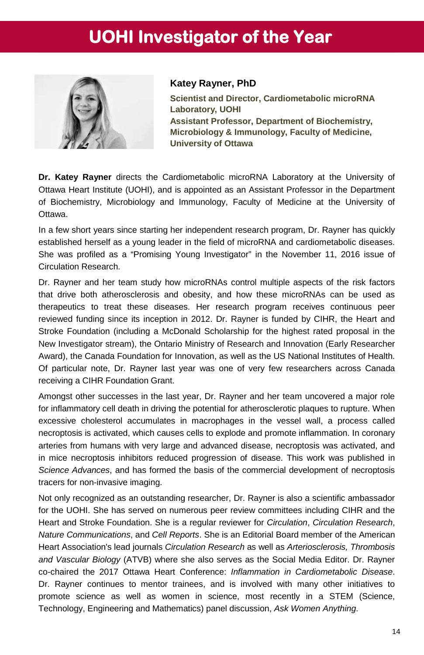# **UOHI Investigator of the Year**



#### **Katey Rayner, PhD**

**Scientist and Director, Cardiometabolic microRNA Laboratory, UOHI Assistant Professor, Department of Biochemistry, Microbiology & Immunology, Faculty of Medicine, University of Ottawa**

**Dr. Katey Rayner** directs the Cardiometabolic microRNA Laboratory at the University of Ottawa Heart Institute (UOHI), and is appointed as an Assistant Professor in the Department of Biochemistry, Microbiology and Immunology, Faculty of Medicine at the University of Ottawa.

In a few short years since starting her independent research program, Dr. Rayner has quickly established herself as a young leader in the field of microRNA and cardiometabolic diseases. She was profiled as a "Promising Young Investigator" in the November 11, 2016 issue of Circulation Research.

Dr. Rayner and her team study how microRNAs control multiple aspects of the risk factors that drive both atherosclerosis and obesity, and how these microRNAs can be used as therapeutics to treat these diseases. Her research program receives continuous peer reviewed funding since its inception in 2012. Dr. Rayner is funded by CIHR, the Heart and Stroke Foundation (including a McDonald Scholarship for the highest rated proposal in the New Investigator stream), the Ontario Ministry of Research and Innovation (Early Researcher Award), the Canada Foundation for Innovation, as well as the US National Institutes of Health. Of particular note, Dr. Rayner last year was one of very few researchers across Canada receiving a CIHR Foundation Grant.

Amongst other successes in the last year, Dr. Rayner and her team uncovered a major role for inflammatory cell death in driving the potential for atherosclerotic plaques to rupture. When excessive cholesterol accumulates in macrophages in the vessel wall, a process called necroptosis is activated, which causes cells to explode and promote inflammation. In coronary arteries from humans with very large and advanced disease, necroptosis was activated, and in mice necroptosis inhibitors reduced progression of disease. This work was published in *Science Advances*, and has formed the basis of the commercial development of necroptosis tracers for non-invasive imaging.

Not only recognized as an outstanding researcher, Dr. Rayner is also a scientific ambassador for the UOHI. She has served on numerous peer review committees including CIHR and the Heart and Stroke Foundation. She is a regular reviewer for *Circulation*, *Circulation Research*, *Nature Communications*, and *Cell Reports*. She is an Editorial Board member of the American Heart Association's lead journals *Circulation Research* as well as *Arteriosclerosis, Thrombosis and Vascular Biology* (ATVB) where she also serves as the Social Media Editor. Dr. Rayner co-chaired the 2017 Ottawa Heart Conference: *Inflammation in Cardiometabolic Disease*. Dr. Rayner continues to mentor trainees, and is involved with many other initiatives to promote science as well as women in science, most recently in a STEM (Science, Technology, Engineering and Mathematics) panel discussion, *Ask Women Anything*.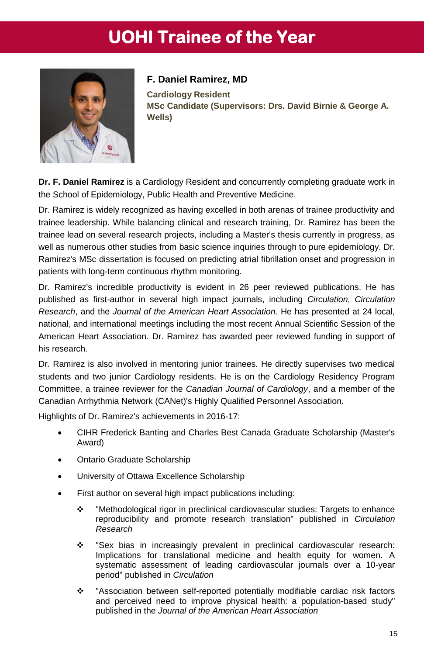# **UOHI Trainee of the Year**



## **F. Daniel Ramirez, MD**

**Cardiology Resident MSc Candidate (Supervisors: Drs. David Birnie & George A. Wells)**

**Dr. F. Daniel Ramirez** is a Cardiology Resident and concurrently completing graduate work in the School of Epidemiology, Public Health and Preventive Medicine.

Dr. Ramirez is widely recognized as having excelled in both arenas of trainee productivity and trainee leadership. While balancing clinical and research training, Dr. Ramirez has been the trainee lead on several research projects, including a Master's thesis currently in progress, as well as numerous other studies from basic science inquiries through to pure epidemiology. Dr. Ramirez's MSc dissertation is focused on predicting atrial fibrillation onset and progression in patients with long-term continuous rhythm monitoring.

Dr. Ramirez's incredible productivity is evident in 26 peer reviewed publications. He has published as first-author in several high impact journals, including *Circulation*, *Circulation Research*, and the *Journal of the American Heart Association*. He has presented at 24 local, national, and international meetings including the most recent Annual Scientific Session of the American Heart Association. Dr. Ramirez has awarded peer reviewed funding in support of his research.

Dr. Ramirez is also involved in mentoring junior trainees. He directly supervises two medical students and two junior Cardiology residents. He is on the Cardiology Residency Program Committee, a trainee reviewer for the *Canadian Journal of Cardiology*, and a member of the Canadian Arrhythmia Network (CANet)'s Highly Qualified Personnel Association.

Highlights of Dr. Ramirez's achievements in 2016-17:

- CIHR Frederick Banting and Charles Best Canada Graduate Scholarship (Master's Award)
- Ontario Graduate Scholarship
- University of Ottawa Excellence Scholarship
- First author on several high impact publications including:
	- "Methodological rigor in preclinical cardiovascular studies: Targets to enhance reproducibility and promote research translation" published in *Circulation Research*
	- "Sex bias in increasingly prevalent in preclinical cardiovascular research: Implications for translational medicine and health equity for women. A systematic assessment of leading cardiovascular journals over a 10-year period" published in *Circulation*
	- "Association between self-reported potentially modifiable cardiac risk factors and perceived need to improve physical health: a population-based study" published in the *Journal of the American Heart Association*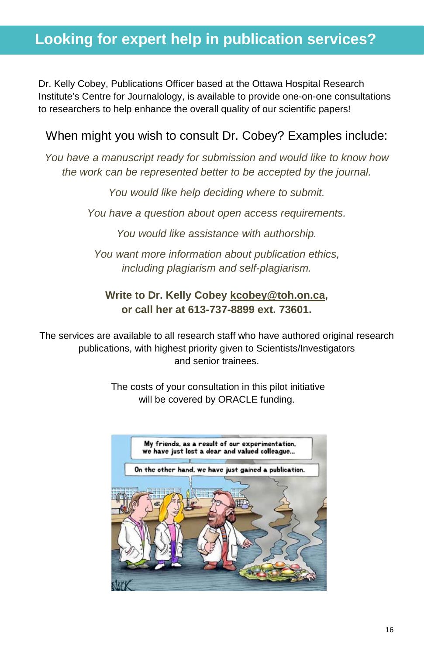# **Looking for expert help in publication services?**

Dr. Kelly Cobey, Publications Officer based at the Ottawa Hospital Research Institute's Centre for Journalology, is available to provide one-on-one consultations to researchers to help enhance the overall quality of our scientific papers!

# When might you wish to consult Dr. Cobey? Examples include:

*You have a manuscript ready for submission and would like to know how the work can be represented better to be accepted by the journal.*

*You would like help deciding where to submit.*

*You have a question about open access requirements.*

*You would like assistance with authorship.*

*You want more information about publication ethics, including plagiarism and self-plagiarism.* 

## **Write to Dr. Kelly Cobey [kcobey@toh.on.ca,](https://mytoh.ottawahospital.on.ca/owa/redir.aspx?C=6QRrAeXocU2uiTE9PluN9S_9do6ds9IIlshBijHaP0s6Oh0hwHJssCPGpOx6LSdYvR1KiiSb0oI.&URL=mailto%3akcobey%40cheo.on.ca) or call her at 613-737-8899 ext. 73601.**

The services are available to all research staff who have authored original research publications, with highest priority given to Scientists/Investigators and senior trainees.

> The costs of your consultation in this pilot initiative will be covered by ORACLE funding.

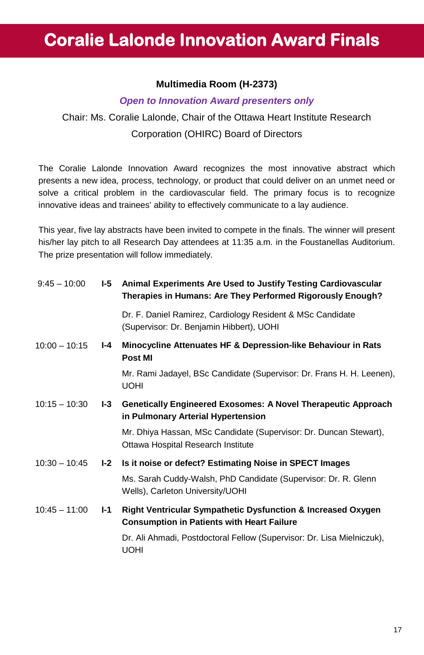# **Coralie Lalonde Innovation Award Finals**

## **Multimedia Room (H-2373)**

#### *Open to Innovation Award presenters only*

Chair: Ms. Coralie Lalonde, Chair of the Ottawa Heart Institute Research Corporation (OHIRC) Board of Directors

The Coralie Lalonde Innovation Award recognizes the most innovative abstract which presents a new idea, process, technology, or product that could deliver on an unmet need or solve a critical problem in the cardiovascular field. The primary focus is to recognize innovative ideas and trainees' ability to effectively communicate to a lay audience.

This year, five lay abstracts have been invited to compete in the finals. The winner will present his/her lay pitch to all Research Day attendees at 11:35 a.m. in the Foustanellas Auditorium. The prize presentation will follow immediately.

| $9:45 - 10:00$  | I-5   | Animal Experiments Are Used to Justify Testing Cardiovascular<br>Therapies in Humans: Are They Performed Rigorously Enough?  |
|-----------------|-------|------------------------------------------------------------------------------------------------------------------------------|
|                 |       | Dr. F. Daniel Ramirez, Cardiology Resident & MSc Candidate<br>(Supervisor: Dr. Benjamin Hibbert), UOHI                       |
| $10:00 - 10:15$ | I-4   | Minocycline Attenuates HF & Depression-like Behaviour in Rats<br>Post MI                                                     |
|                 |       | Mr. Rami Jadayel, BSc Candidate (Supervisor: Dr. Frans H. H. Leenen),<br><b>UOHI</b>                                         |
| $10:15 - 10:30$ | $-3$  | <b>Genetically Engineered Exosomes: A Novel Therapeutic Approach</b><br>in Pulmonary Arterial Hypertension                   |
|                 |       | Mr. Dhiya Hassan, MSc Candidate (Supervisor: Dr. Duncan Stewart),<br>Ottawa Hospital Research Institute                      |
| $10:30 - 10:45$ | $I-2$ | Is it noise or defect? Estimating Noise in SPECT Images                                                                      |
|                 |       | Ms. Sarah Cuddy-Walsh, PhD Candidate (Supervisor: Dr. R. Glenn)<br>Wells), Carleton University/UOHI                          |
| $10:45 - 11:00$ | I-1   | <b>Right Ventricular Sympathetic Dysfunction &amp; Increased Oxygen</b><br><b>Consumption in Patients with Heart Failure</b> |
|                 |       | Dr. Ali Ahmadi, Postdoctoral Fellow (Supervisor: Dr. Lisa Mielniczuk),<br><b>UOHI</b>                                        |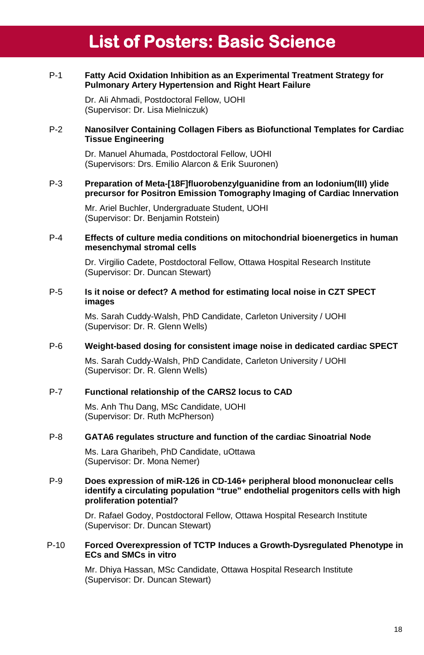# **List of Posters: Basic Science**

#### P-1 **Fatty Acid Oxidation Inhibition as an Experimental Treatment Strategy for Pulmonary Artery Hypertension and Right Heart Failure**

Dr. Ali Ahmadi, Postdoctoral Fellow, UOHI (Supervisor: Dr. Lisa Mielniczuk)

#### P-2 **Nanosilver Containing Collagen Fibers as Biofunctional Templates for Cardiac Tissue Engineering**

Dr. Manuel Ahumada, Postdoctoral Fellow, UOHI (Supervisors: Drs. Emilio Alarcon & Erik Suuronen)

#### P-3 **Preparation of Meta-[18F]fluorobenzylguanidine from an Iodonium(III) ylide precursor for Positron Emission Tomography Imaging of Cardiac Innervation**

Mr. Ariel Buchler, Undergraduate Student, UOHI (Supervisor: Dr. Benjamin Rotstein)

#### P-4 **Effects of culture media conditions on mitochondrial bioenergetics in human mesenchymal stromal cells**

Dr. Virgilio Cadete, Postdoctoral Fellow, Ottawa Hospital Research Institute (Supervisor: Dr. Duncan Stewart)

#### P-5 **Is it noise or defect? A method for estimating local noise in CZT SPECT images**

Ms. Sarah Cuddy-Walsh, PhD Candidate, Carleton University / UOHI (Supervisor: Dr. R. Glenn Wells)

#### P-6 **Weight-based dosing for consistent image noise in dedicated cardiac SPECT**

Ms. Sarah Cuddy-Walsh, PhD Candidate, Carleton University / UOHI (Supervisor: Dr. R. Glenn Wells)

#### P-7 **Functional relationship of the CARS2 locus to CAD**

Ms. Anh Thu Dang, MSc Candidate, UOHI (Supervisor: Dr. Ruth McPherson)

#### P-8 **GATA6 regulates structure and function of the cardiac Sinoatrial Node**

Ms. Lara Gharibeh, PhD Candidate, uOttawa (Supervisor: Dr. Mona Nemer)

#### P-9 **Does expression of miR-126 in CD-146+ peripheral blood mononuclear cells identify a circulating population "true" endothelial progenitors cells with high proliferation potential?**

Dr. Rafael Godoy, Postdoctoral Fellow, Ottawa Hospital Research Institute (Supervisor: Dr. Duncan Stewart)

#### P-10 **Forced Overexpression of TCTP Induces a Growth-Dysregulated Phenotype in ECs and SMCs in vitro**

Mr. Dhiya Hassan, MSc Candidate, Ottawa Hospital Research Institute (Supervisor: Dr. Duncan Stewart)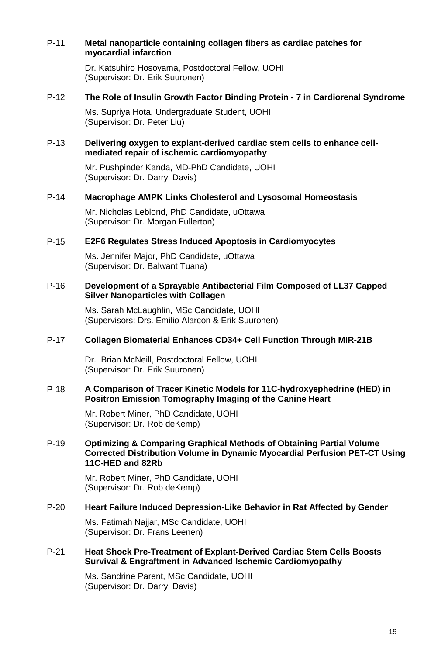#### P-11 **Metal nanoparticle containing collagen fibers as cardiac patches for myocardial infarction**

Dr. Katsuhiro Hosoyama, Postdoctoral Fellow, UOHI (Supervisor: Dr. Erik Suuronen)

#### P-12 **The Role of Insulin Growth Factor Binding Protein - 7 in Cardiorenal Syndrome**

Ms. Supriya Hota, Undergraduate Student, UOHI (Supervisor: Dr. Peter Liu)

#### P-13 **Delivering oxygen to explant-derived cardiac stem cells to enhance cellmediated repair of ischemic cardiomyopathy**

Mr. Pushpinder Kanda, MD-PhD Candidate, UOHI (Supervisor: Dr. Darryl Davis)

#### P-14 **Macrophage AMPK Links Cholesterol and Lysosomal Homeostasis**

Mr. Nicholas Leblond, PhD Candidate, uOttawa (Supervisor: Dr. Morgan Fullerton)

#### P-15 **E2F6 Regulates Stress Induced Apoptosis in Cardiomyocytes**

Ms. Jennifer Major, PhD Candidate, uOttawa (Supervisor: Dr. Balwant Tuana)

#### P-16 **Development of a Sprayable Antibacterial Film Composed of LL37 Capped Silver Nanoparticles with Collagen**

Ms. Sarah McLaughlin, MSc Candidate, UOHI (Supervisors: Drs. Emilio Alarcon & Erik Suuronen)

#### P-17 **Collagen Biomaterial Enhances CD34+ Cell Function Through MIR-21B**

Dr. Brian McNeill, Postdoctoral Fellow, UOHI (Supervisor: Dr. Erik Suuronen)

#### P-18 **A Comparison of Tracer Kinetic Models for 11C-hydroxyephedrine (HED) in Positron Emission Tomography Imaging of the Canine Heart**

Mr. Robert Miner, PhD Candidate, UOHI (Supervisor: Dr. Rob deKemp)

#### P-19 **Optimizing & Comparing Graphical Methods of Obtaining Partial Volume Corrected Distribution Volume in Dynamic Myocardial Perfusion PET-CT Using 11C-HED and 82Rb**

Mr. Robert Miner, PhD Candidate, UOHI (Supervisor: Dr. Rob deKemp)

#### P-20 **Heart Failure Induced Depression-Like Behavior in Rat Affected by Gender**

Ms. Fatimah Najjar, MSc Candidate, UOHI (Supervisor: Dr. Frans Leenen)

#### P-21 **Heat Shock Pre-Treatment of Explant-Derived Cardiac Stem Cells Boosts Survival & Engraftment in Advanced Ischemic Cardiomyopathy**

Ms. Sandrine Parent, MSc Candidate, UOHI (Supervisor: Dr. Darryl Davis)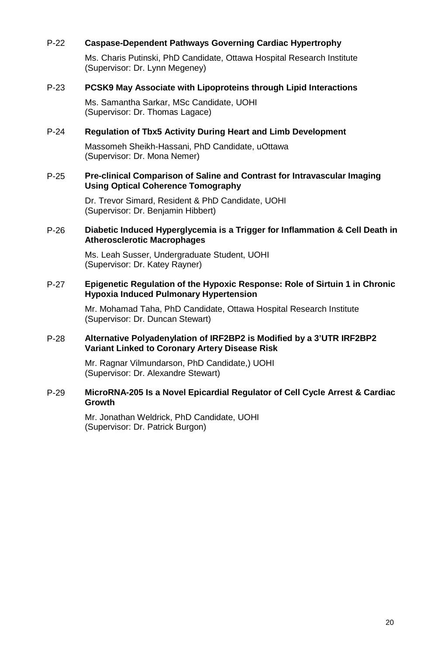#### P-22 **Caspase-Dependent Pathways Governing Cardiac Hypertrophy**

Ms. Charis Putinski, PhD Candidate, Ottawa Hospital Research Institute (Supervisor: Dr. Lynn Megeney)

#### P-23 **PCSK9 May Associate with Lipoproteins through Lipid Interactions**

Ms. Samantha Sarkar, MSc Candidate, UOHI (Supervisor: Dr. Thomas Lagace)

#### P-24 **Regulation of Tbx5 Activity During Heart and Limb Development**

Massomeh Sheikh-Hassani, PhD Candidate, uOttawa (Supervisor: Dr. Mona Nemer)

#### P-25 **Pre-clinical Comparison of Saline and Contrast for Intravascular Imaging Using Optical Coherence Tomography**

Dr. Trevor Simard, Resident & PhD Candidate, UOHI (Supervisor: Dr. Benjamin Hibbert)

#### P-26 **Diabetic Induced Hyperglycemia is a Trigger for Inflammation & Cell Death in Atherosclerotic Macrophages**

Ms. Leah Susser, Undergraduate Student, UOHI (Supervisor: Dr. Katey Rayner)

#### P-27 **Epigenetic Regulation of the Hypoxic Response: Role of Sirtuin 1 in Chronic Hypoxia Induced Pulmonary Hypertension**

Mr. Mohamad Taha, PhD Candidate, Ottawa Hospital Research Institute (Supervisor: Dr. Duncan Stewart)

#### P-28 **Alternative Polyadenylation of IRF2BP2 is Modified by a 3'UTR IRF2BP2 Variant Linked to Coronary Artery Disease Risk**

Mr. Ragnar Vilmundarson, PhD Candidate,) UOHI (Supervisor: Dr. Alexandre Stewart)

#### P-29 **MicroRNA-205 Is a Novel Epicardial Regulator of Cell Cycle Arrest & Cardiac Growth**

Mr. Jonathan Weldrick, PhD Candidate, UOHI (Supervisor: Dr. Patrick Burgon)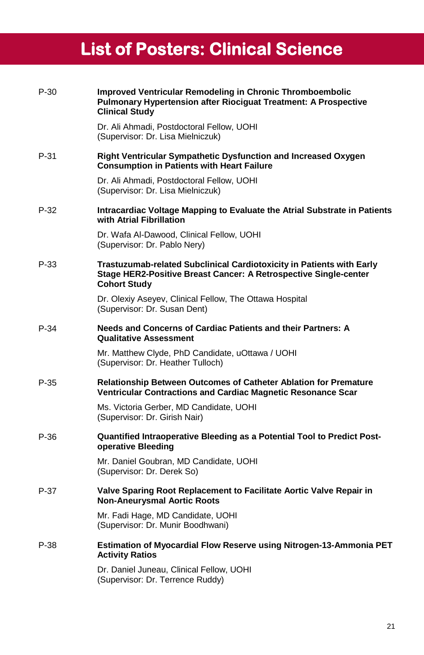# **List of Posters: Clinical Science**

| $P-30$ | Improved Ventricular Remodeling in Chronic Thromboembolic<br>Pulmonary Hypertension after Riociguat Treatment: A Prospective<br><b>Clinical Study</b>            |
|--------|------------------------------------------------------------------------------------------------------------------------------------------------------------------|
|        | Dr. Ali Ahmadi, Postdoctoral Fellow, UOHI<br>(Supervisor: Dr. Lisa Mielniczuk)                                                                                   |
| P-31   | Right Ventricular Sympathetic Dysfunction and Increased Oxygen<br><b>Consumption in Patients with Heart Failure</b>                                              |
|        | Dr. Ali Ahmadi, Postdoctoral Fellow, UOHI<br>(Supervisor: Dr. Lisa Mielniczuk)                                                                                   |
| $P-32$ | Intracardiac Voltage Mapping to Evaluate the Atrial Substrate in Patients<br>with Atrial Fibrillation                                                            |
|        | Dr. Wafa Al-Dawood, Clinical Fellow, UOHI<br>(Supervisor: Dr. Pablo Nery)                                                                                        |
| $P-33$ | Trastuzumab-related Subclinical Cardiotoxicity in Patients with Early<br>Stage HER2-Positive Breast Cancer: A Retrospective Single-center<br><b>Cohort Study</b> |
|        | Dr. Olexiy Aseyev, Clinical Fellow, The Ottawa Hospital<br>(Supervisor: Dr. Susan Dent)                                                                          |
| $P-34$ | Needs and Concerns of Cardiac Patients and their Partners: A<br><b>Qualitative Assessment</b>                                                                    |
|        | Mr. Matthew Clyde, PhD Candidate, uOttawa / UOHI<br>(Supervisor: Dr. Heather Tulloch)                                                                            |
| P-35   | <b>Relationship Between Outcomes of Catheter Ablation for Premature</b><br>Ventricular Contractions and Cardiac Magnetic Resonance Scar                          |
|        | Ms. Victoria Gerber, MD Candidate, UOHI<br>(Supervisor: Dr. Girish Nair)                                                                                         |
| $P-36$ | <b>Quantified Intraoperative Bleeding as a Potential Tool to Predict Post-</b><br>operative Bleeding                                                             |
|        | Mr. Daniel Goubran, MD Candidate, UOHI<br>(Supervisor: Dr. Derek So)                                                                                             |
| P-37   | Valve Sparing Root Replacement to Facilitate Aortic Valve Repair in<br><b>Non-Aneurysmal Aortic Roots</b>                                                        |
|        | Mr. Fadi Hage, MD Candidate, UOHI<br>(Supervisor: Dr. Munir Boodhwani)                                                                                           |
| $P-38$ | Estimation of Myocardial Flow Reserve using Nitrogen-13-Ammonia PET<br><b>Activity Ratios</b>                                                                    |
|        | Dr. Daniel Juneau, Clinical Fellow, UOHI<br>(Supervisor: Dr. Terrence Ruddy)                                                                                     |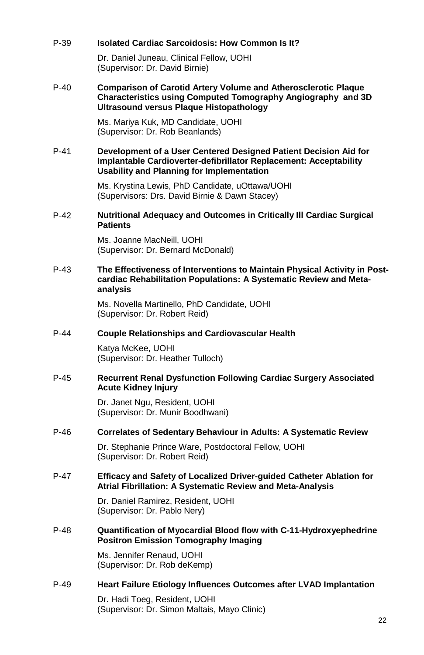#### P-39 **Isolated Cardiac Sarcoidosis: How Common Is It?**

Dr. Daniel Juneau, Clinical Fellow, UOHI (Supervisor: Dr. David Birnie)

#### P-40 **Comparison of Carotid Artery Volume and Atherosclerotic Plaque Characteristics using Computed Tomography Angiography and 3D Ultrasound versus Plaque Histopathology**

Ms. Mariya Kuk, MD Candidate, UOHI (Supervisor: Dr. Rob Beanlands)

#### P-41 **Development of a User Centered Designed Patient Decision Aid for Implantable Cardioverter-defibrillator Replacement: Acceptability Usability and Planning for Implementation**

Ms. Krystina Lewis, PhD Candidate, uOttawa/UOHI (Supervisors: Drs. David Birnie & Dawn Stacey)

#### P-42 **Nutritional Adequacy and Outcomes in Critically Ill Cardiac Surgical Patients**

Ms. Joanne MacNeill, UOHI (Supervisor: Dr. Bernard McDonald)

#### P-43 **The Effectiveness of Interventions to Maintain Physical Activity in Postcardiac Rehabilitation Populations: A Systematic Review and Metaanalysis**

Ms. Novella Martinello, PhD Candidate, UOHI (Supervisor: Dr. Robert Reid)

#### P-44 **Couple Relationships and Cardiovascular Health**

Katya McKee, UOHI (Supervisor: Dr. Heather Tulloch)

#### P-45 **Recurrent Renal Dysfunction Following Cardiac Surgery Associated Acute Kidney Injury**

Dr. Janet Ngu, Resident, UOHI (Supervisor: Dr. Munir Boodhwani)

#### P-46 **Correlates of Sedentary Behaviour in Adults: A Systematic Review**

Dr. Stephanie Prince Ware, Postdoctoral Fellow, UOHI (Supervisor: Dr. Robert Reid)

#### P-47 **Efficacy and Safety of Localized Driver-guided Catheter Ablation for Atrial Fibrillation: A Systematic Review and Meta-Analysis**

Dr. Daniel Ramirez, Resident, UOHI (Supervisor: Dr. Pablo Nery)

#### P-48 **Quantification of Myocardial Blood flow with C-11-Hydroxyephedrine Positron Emission Tomography Imaging**

Ms. Jennifer Renaud, UOHI (Supervisor: Dr. Rob deKemp)

#### P-49 **Heart Failure Etiology Influences Outcomes after LVAD Implantation**

Dr. Hadi Toeg, Resident, UOHI (Supervisor: Dr. Simon Maltais, Mayo Clinic)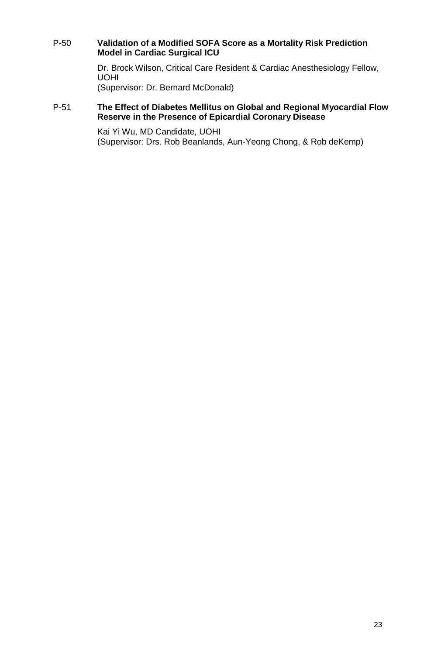#### P-50 **Validation of a Modified SOFA Score as a Mortality Risk Prediction Model in Cardiac Surgical ICU**

Dr. Brock Wilson, Critical Care Resident & Cardiac Anesthesiology Fellow, UOHI

(Supervisor: Dr. Bernard McDonald)

#### P-51 **The Effect of Diabetes Mellitus on Global and Regional Myocardial Flow Reserve in the Presence of Epicardial Coronary Disease**

Kai Yi Wu, MD Candidate, UOHI (Supervisor: Drs. Rob Beanlands, Aun-Yeong Chong, & Rob deKemp)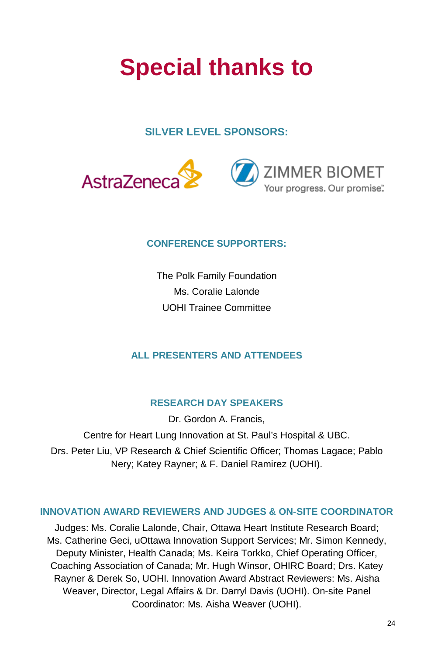# **Special thanks to**

## **SILVER LEVEL SPONSORS:**



## **CONFERENCE SUPPORTERS:**

The Polk Family Foundation Ms. Coralie Lalonde UOHI Trainee Committee

## **ALL PRESENTERS AND ATTENDEES**

## **RESEARCH DAY SPEAKERS**

Dr. Gordon A. Francis, Centre for Heart Lung Innovation at St. Paul's Hospital & UBC. Drs. Peter Liu, VP Research & Chief Scientific Officer; Thomas Lagace; Pablo Nery; Katey Rayner; & F. Daniel Ramirez (UOHI).

## **INNOVATION AWARD REVIEWERS AND JUDGES & ON-SITE COORDINATOR**

Judges: Ms. Coralie Lalonde, Chair, Ottawa Heart Institute Research Board; Ms. Catherine Geci, uOttawa Innovation Support Services; Mr. Simon Kennedy, Deputy Minister, Health Canada; Ms. Keira Torkko, Chief Operating Officer, Coaching Association of Canada; Mr. Hugh Winsor, OHIRC Board; Drs. Katey Rayner & Derek So, UOHI. Innovation Award Abstract Reviewers: Ms. Aisha Weaver, Director, Legal Affairs & Dr. Darryl Davis (UOHI). On-site Panel Coordinator: Ms. Aisha Weaver (UOHI).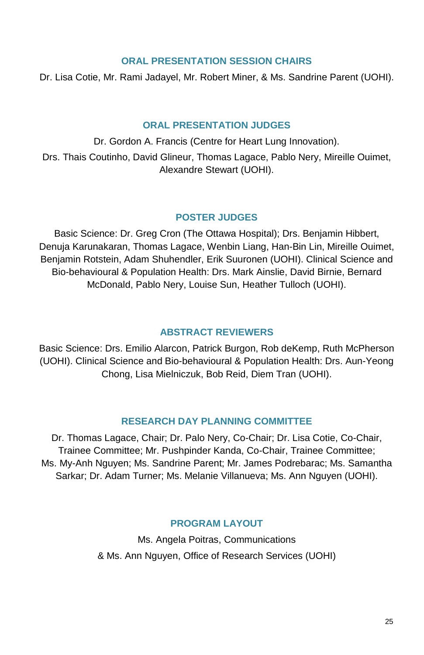#### **ORAL PRESENTATION SESSION CHAIRS**

Dr. Lisa Cotie, Mr. Rami Jadayel, Mr. Robert Miner, & Ms. Sandrine Parent (UOHI).

## **ORAL PRESENTATION JUDGES**

Dr. Gordon A. Francis (Centre for Heart Lung Innovation). Drs. Thais Coutinho, David Glineur, Thomas Lagace, Pablo Nery, Mireille Ouimet, Alexandre Stewart (UOHI).

## **POSTER JUDGES**

Basic Science: Dr. Greg Cron (The Ottawa Hospital); Drs. Benjamin Hibbert, Denuja Karunakaran, Thomas Lagace, Wenbin Liang, Han-Bin Lin, Mireille Ouimet, Benjamin Rotstein, Adam Shuhendler, Erik Suuronen (UOHI). Clinical Science and Bio-behavioural & Population Health: Drs. Mark Ainslie, David Birnie, Bernard McDonald, Pablo Nery, Louise Sun, Heather Tulloch (UOHI).

## **ABSTRACT REVIEWERS**

Basic Science: Drs. Emilio Alarcon, Patrick Burgon, Rob deKemp, Ruth McPherson (UOHI). Clinical Science and Bio-behavioural & Population Health: Drs. Aun-Yeong Chong, Lisa Mielniczuk, Bob Reid, Diem Tran (UOHI).

## **RESEARCH DAY PLANNING COMMITTEE**

Dr. Thomas Lagace, Chair; Dr. Palo Nery, Co-Chair; Dr. Lisa Cotie, Co-Chair, Trainee Committee; Mr. Pushpinder Kanda, Co-Chair, Trainee Committee; Ms. My-Anh Nguyen; Ms. Sandrine Parent; Mr. James Podrebarac; Ms. Samantha Sarkar; Dr. Adam Turner; Ms. Melanie Villanueva; Ms. Ann Nguyen (UOHI).

## **PROGRAM LAYOUT**

Ms. Angela Poitras, Communications & Ms. Ann Nguyen, Office of Research Services (UOHI)